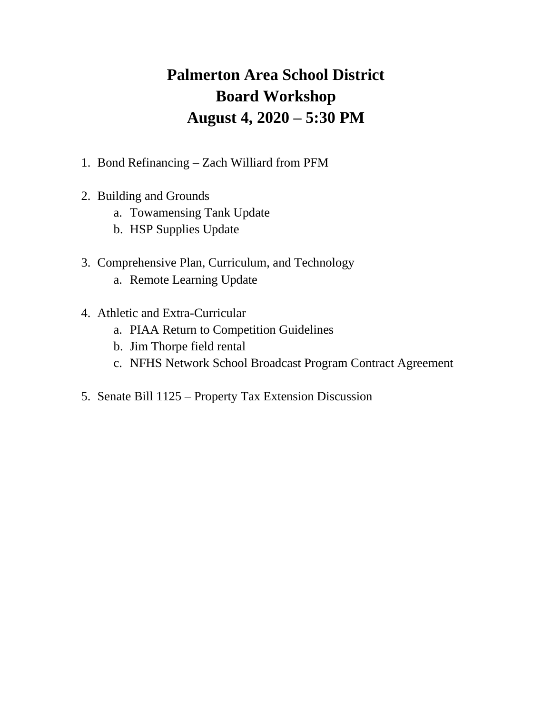# **Palmerton Area School District Board Workshop August 4, 2020 – 5:30 PM**

- 1. Bond Refinancing Zach Williard from PFM
- 2. Building and Grounds
	- a. Towamensing Tank Update
	- b. HSP Supplies Update
- 3. Comprehensive Plan, Curriculum, and Technology
	- a. Remote Learning Update
- 4. Athletic and Extra-Curricular
	- a. PIAA Return to Competition Guidelines
	- b. Jim Thorpe field rental
	- c. NFHS Network School Broadcast Program Contract Agreement
- 5. Senate Bill 1125 Property Tax Extension Discussion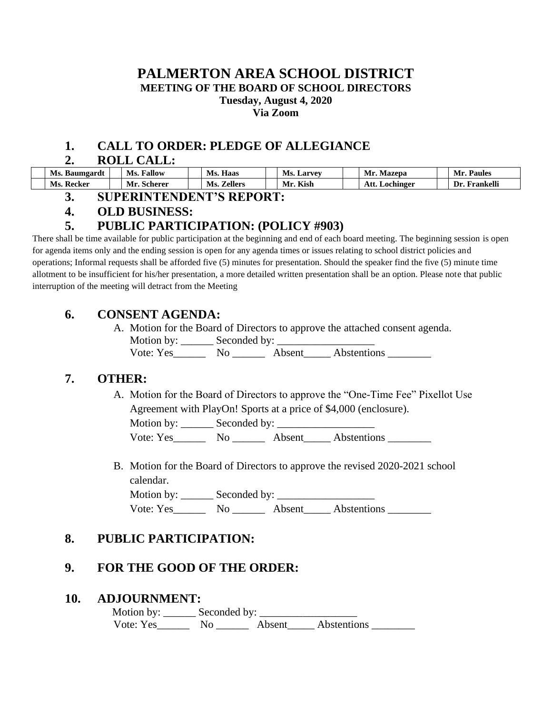## **PALMERTON AREA SCHOOL DISTRICT MEETING OF THE BOARD OF SCHOOL DIRECTORS Tuesday, August 4, 2020 Via Zoom**

## **1. CALL TO ORDER: PLEDGE OF ALLEGIANCE**

#### **2. ROLL CALL:**

| Ms.<br>Baumgardt | Fallow<br>Ms. | $\mathbf{r}$<br>- -<br>Ms.<br>Haas | Ms.<br><b>Larvey</b> | Mr.<br>Mazepa      | Paules                         |
|------------------|---------------|------------------------------------|----------------------|--------------------|--------------------------------|
| Ms<br>Keeker     | Mı<br>Scherer | Zeller:<br>Ms                      | Kish<br>Mr.          | Att.<br>. ochinger | Frankell <sup>:</sup><br>l ) r |

**3. SUPERINTENDENT'S REPORT:**

## **4. OLD BUSINESS:**

## **5. PUBLIC PARTICIPATION: (POLICY #903)**

There shall be time available for public participation at the beginning and end of each board meeting. The beginning session is open for agenda items only and the ending session is open for any agenda times or issues relating to school district policies and operations; Informal requests shall be afforded five (5) minutes for presentation. Should the speaker find the five (5) minute time allotment to be insufficient for his/her presentation, a more detailed written presentation shall be an option. Please note that public interruption of the meeting will detract from the Meeting

## **6. CONSENT AGENDA:**

A. Motion for the Board of Directors to approve the attached consent agenda. Motion by: \_\_\_\_\_\_ Seconded by: \_\_\_\_\_\_\_\_\_\_\_\_\_\_\_\_\_\_

Vote: Yes\_\_\_\_\_\_\_\_ No \_\_\_\_\_\_\_ Absent\_\_\_\_\_ Abstentions \_\_\_\_\_\_\_\_\_

## **7. OTHER:**

A. Motion for the Board of Directors to approve the "One-Time Fee" Pixellot Use Agreement with PlayOn! Sports at a price of \$4,000 (enclosure).

Motion by: \_\_\_\_\_\_ Seconded by: \_\_\_\_\_\_\_\_\_\_\_\_\_\_\_\_\_\_

Vote: Yes\_\_\_\_\_\_\_\_\_ No \_\_\_\_\_\_\_\_\_ Absent\_\_\_\_\_\_ Abstentions

B. Motion for the Board of Directors to approve the revised 2020-2021 school calendar.

Motion by: \_\_\_\_\_\_ Seconded by: \_\_\_\_\_\_\_\_\_\_\_\_\_\_\_\_\_\_ Vote: Yes\_\_\_\_\_\_\_\_ No \_\_\_\_\_\_\_\_ Absent\_\_\_\_\_\_ Abstentions \_\_\_\_\_\_\_\_\_

## **8. PUBLIC PARTICIPATION:**

## **9. FOR THE GOOD OF THE ORDER:**

#### **10. ADJOURNMENT:**

Motion by:  $\_\_\_\_\$  Seconded by:  $\_\_\_\_\_\_\_\_\_\_\_\_\_\_\_\_\_\_$ Vote: Yes\_\_\_\_\_\_\_\_ No \_\_\_\_\_\_\_ Absent\_\_\_\_\_ Abstentions \_\_\_\_\_\_\_\_\_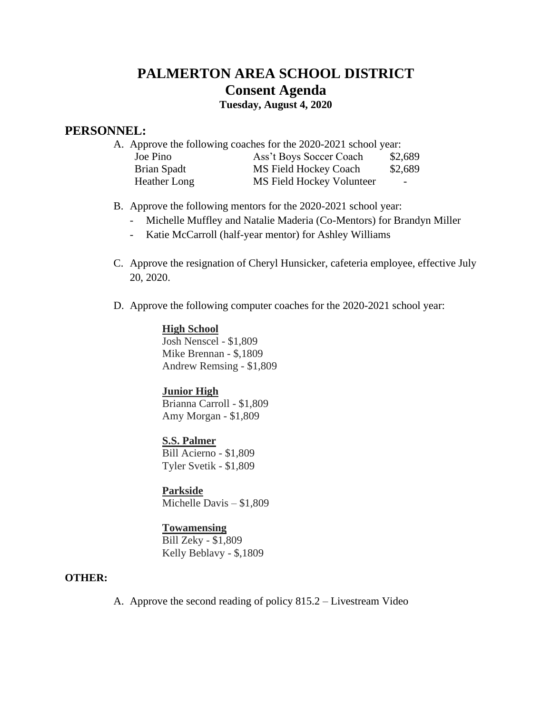## **PALMERTON AREA SCHOOL DISTRICT Consent Agenda**

**Tuesday, August 4, 2020**

#### **PERSONNEL:**

| A. Approve the following coaches for the 2020-2021 school year: |                           |                          |  |  |  |  |
|-----------------------------------------------------------------|---------------------------|--------------------------|--|--|--|--|
| Joe Pino                                                        | Ass't Boys Soccer Coach   | \$2,689                  |  |  |  |  |
| Brian Spadt                                                     | MS Field Hockey Coach     | \$2,689                  |  |  |  |  |
| Heather Long                                                    | MS Field Hockey Volunteer | $\overline{\phantom{a}}$ |  |  |  |  |

B. Approve the following mentors for the 2020-2021 school year:

- Michelle Muffley and Natalie Maderia (Co-Mentors) for Brandyn Miller
- Katie McCarroll (half-year mentor) for Ashley Williams
- C. Approve the resignation of Cheryl Hunsicker, cafeteria employee, effective July 20, 2020.
- D. Approve the following computer coaches for the 2020-2021 school year:

#### **High School**

Josh Nenscel - \$1,809 Mike Brennan - \$,1809 Andrew Remsing - \$1,809

#### **Junior High**

Brianna Carroll - \$1,809 Amy Morgan - \$1,809

**S.S. Palmer** Bill Acierno - \$1,809 Tyler Svetik - \$1,809

**Parkside** Michelle Davis – \$1,809

#### **Towamensing**

Bill Zeky - \$1,809 Kelly Beblavy - \$,1809

#### **OTHER:**

A. Approve the second reading of policy 815.2 – Livestream Video